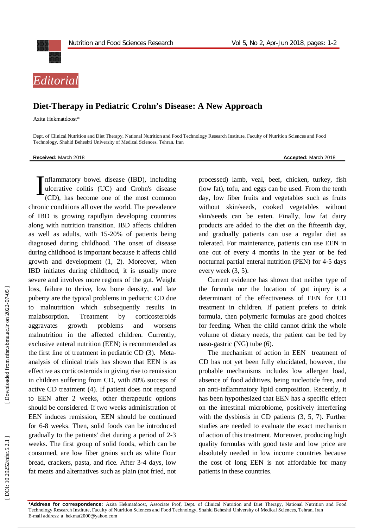

## **Diet -Therapy in Pediatric Crohn's Disease: A New Approach**

Azita Hekmatdoost \*

Dept. of Clinical Nutrition and Diet Therapy, National Nutrition and Food Technology Research Institute, Faculty of Nutrition Sciences and Food Technology, Shahid Beheshti University of Medical Sciences, Tehran, Iran

**Received:** March 201

8 **Accepted:** March 201 8

nflammatory bowel disease (IBD), including ulcerative colitis (UC) and Crohn's disease (CD), has become one of the most common chronic conditions all over the world. The prevalence of IBD is growing rapidlyin developing countries along with nutrition transition. IBD affects children as well as adults, with 15 -20% of patients being diagnosed during childhood. The onset of disease during childhood is important because it affects child growth and development (1, 2). Moreover, when IBD initiate s during childhood, it is usually more sever e and involves more regions of the gut. Weight loss, failure to thrive, low bone density, and late puberty are the typical problems in pediatric CD due to malnutrition which subsequently results in malabsorption. Treatment by corticosteroids aggravates growth problems and worsens malnutrition in the affected children. Currently, exclusive enteral nutrition (EEN) is recommended as the first line of treatment in pediatric CD (3). Meta analysis of clinical trials has shown that EEN is as effective as corticosteroids in giving rise to remission in children suffering from CD , with 80% success of active CD treatment (4). If patient does not respond to EEN after 2 weeks, other therapeutic options should be considered. If two weeks administration of EEN induces remission, EEN should be continue d for 6 -8 weeks. Then, solid foods can be introduced gradually to the patients' diet during a period of 2 -3 weeks. The first group of solid foods, which can be consumed, are low fib er grains such as white flour bread, crackers, pasta, and rice. After 3 -4 days, low fat meats and alternatives such as plain (not fried, not I

processed) lamb, veal, beef, chicken, turkey, fish (low fat), tofu, and eggs can be used. From the tenth day, low fiber fruits and vegetables such as fruits without skin/seeds, cooked vegetables without skin/seeds can be eaten. Finally, low fat dairy products are added to the diet on the fifteenth day, and gradually patients can use a regular diet as tolerated. For maintenance, patients can use EEN in one out of every 4 months in the year or be fed nocturnal partial enteral nutrition (PEN) for 4 -5 days every week (3, 5).

Current evidence ha s shown that neither type of the formula nor the location of gut injury is a determinant of the effectiveness of EEN for CD treatment in children. If patient prefers to drink formula, then polymeric formulas are good choices for feeding. When the child cannot drink the whole volume of dietary needs, the patient can be fed by naso -gastric (NG) tube (6) .

The mechanism of action in EEN treatment of CD has not yet been fully elucidated , however, the probable mechanisms include s low allergen load, absence of food additives, being nucleotide free, and an anti -inflammatory lipid composition. Recently, it has been hypothesized that EEN has a specific effect on the intestinal microbiome, positively interfering with the dysbiosis in CD patients (3, 5, 7) . Further studies are needed to evaluate the exact mechanism of action of this treatment. Moreover, producing high quality formulas with good taste and low price are absolutely needed in low income countries because the cost of long EEN is not affordable for many patients in these countries.

**\*Address for correspondence:** Azita Hekmatdoost , Associate Prof, Dept. of Clinical Nutrition and Diet Therapy, National Nutrition and Food Technology Research Institute, Faculty of Nutrition Sciences and Food Technology, Shahid Beheshti University of Medical Sciences, Tehran, Iran E-mail address: a\_hekmat2000@yahoo.com